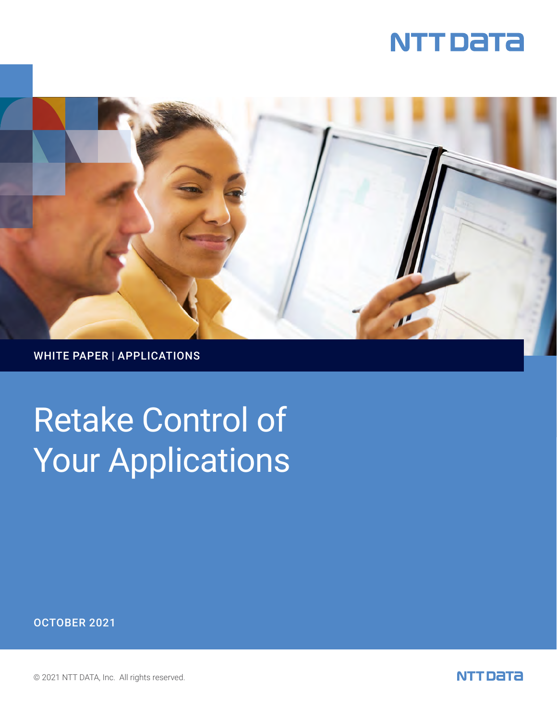



WHITE PAPER | APPLICATIONS

# Retake Control of Your Applications

OCTOBER 2021

© 2021 NTT DATA, Inc. All rights reserved.

NTT DATA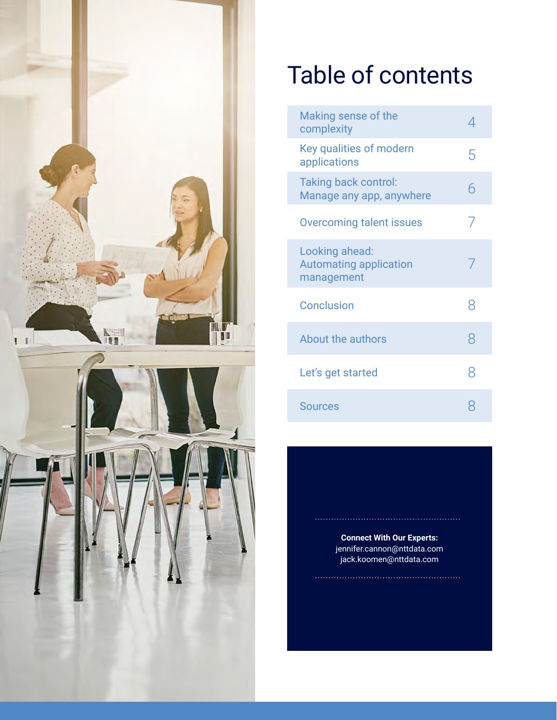



# Table of contents

| Making sense of the<br>complexity                             |   |
|---------------------------------------------------------------|---|
| Key qualities of modern<br>applications                       | 5 |
| <b>Taking back control:</b><br>Manage any app, anywhere       | 6 |
| <b>Overcoming talent issues</b>                               | 7 |
| Looking ahead:<br><b>Automating application</b><br>management |   |
| <b>Conclusion</b>                                             | 8 |
| About the authors                                             | 8 |
| Let's get started                                             | 8 |
| Sources                                                       |   |

**Connect With Our Experts:** jennifer.cannon@nttdata.com jack.koomen@nttdata.com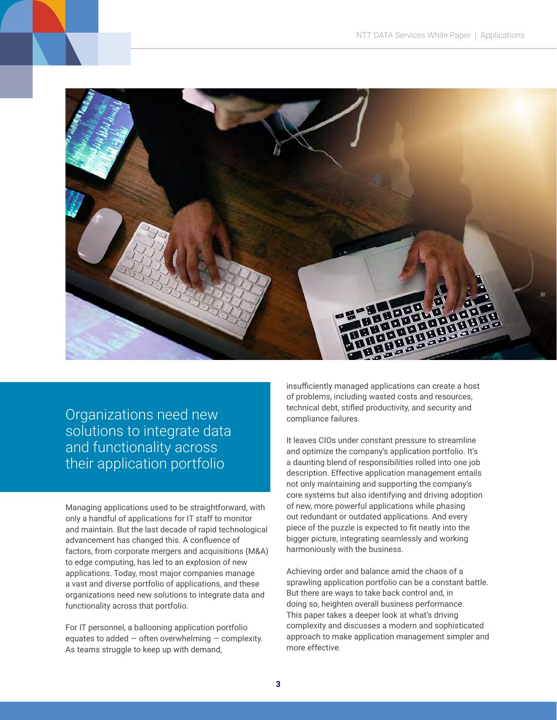

Organizations need new solutions to integrate data and functionality across their application portfolio

Managing applications used to be straightforward, with only a handful of applications for IT staff to monitor and maintain. But the last decade of rapid technological advancement has changed this. A confluence of factors, from corporate mergers and acquisitions (M&A) to edge computing, has led to an explosion of new applications. Today, most major companies manage a vast and diverse portfolio of applications, and these organizations need new solutions to integrate data and functionality across that portfolio.

For IT personnel, a ballooning application portfolio equates to added  $-$  often overwhelming  $-$  complexity. As teams struggle to keep up with demand,

insufficiently managed applications can create a host of problems, including wasted costs and resources, technical debt, stifled productivity, and security and compliance failures.

It leaves CIOs under constant pressure to streamline and optimize the company's application portfolio. It's a daunting blend of responsibilities rolled into one job description. Effective application management entails not only maintaining and supporting the company's core systems but also identifying and driving adoption of new, more powerful applications while phasing out redundant or outdated applications. And every piece of the puzzle is expected to fit neatly into the bigger picture, integrating seamlessly and working harmoniously with the business.

Achieving order and balance amid the chaos of a sprawling application portfolio can be a constant battle. But there are ways to take back control and, in doing so, heighten overall business performance. This paper takes a deeper look at what's driving complexity and discusses a modern and sophisticated approach to make application management simpler and more effective.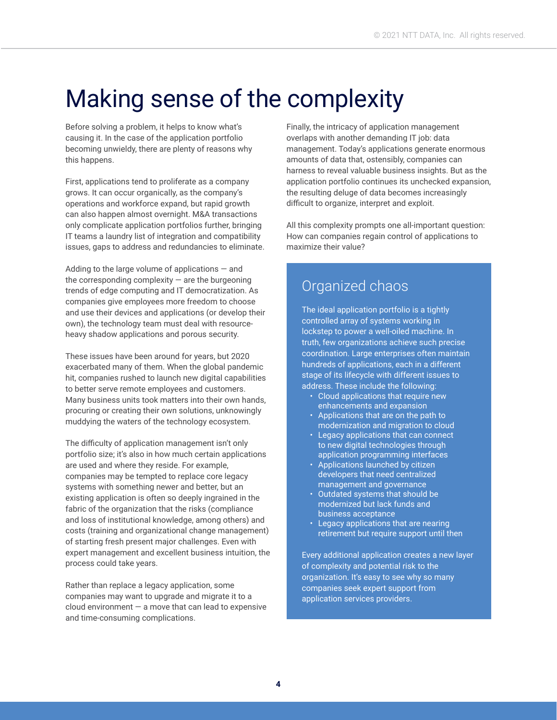## Making sense of the complexity

Before solving a problem, it helps to know what's causing it. In the case of the application portfolio becoming unwieldy, there are plenty of reasons why this happens.

First, applications tend to proliferate as a company grows. It can occur organically, as the company's operations and workforce expand, but rapid growth can also happen almost overnight. M&A transactions only complicate application portfolios further, bringing IT teams a laundry list of integration and compatibility issues, gaps to address and redundancies to eliminate.

Adding to the large volume of applications  $-$  and the corresponding complexity  $-$  are the burgeoning trends of edge computing and IT democratization. As companies give employees more freedom to choose and use their devices and applications (or develop their own), the technology team must deal with resourceheavy shadow applications and porous security.

These issues have been around for years, but 2020 exacerbated many of them. When the global pandemic hit, companies rushed to launch new digital capabilities to better serve remote employees and customers. Many business units took matters into their own hands, procuring or creating their own solutions, unknowingly muddying the waters of the technology ecosystem.

The difficulty of application management isn't only portfolio size; it's also in how much certain applications are used and where they reside. For example, companies may be tempted to replace core legacy systems with something newer and better, but an existing application is often so deeply ingrained in the fabric of the organization that the risks (compliance and loss of institutional knowledge, among others) and costs (training and organizational change management) of starting fresh present major challenges. Even with expert management and excellent business intuition, the process could take years.

Rather than replace a legacy application, some companies may want to upgrade and migrate it to a cloud environment  $-$  a move that can lead to expensive and time-consuming complications.

Finally, the intricacy of application management overlaps with another demanding IT job: data management. Today's applications generate enormous amounts of data that, ostensibly, companies can harness to reveal valuable business insights. But as the application portfolio continues its unchecked expansion, the resulting deluge of data becomes increasingly difficult to organize, interpret and exploit.

All this complexity prompts one all-important question: How can companies regain control of applications to maximize their value?

#### Organized chaos

The ideal application portfolio is a tightly controlled array of systems working in lockstep to power a well-oiled machine. In truth, few organizations achieve such precise coordination. Large enterprises often maintain hundreds of applications, each in a different stage of its lifecycle with different issues to address. These include the following:

- Cloud applications that require new enhancements and expansion
- Applications that are on the path to modernization and migration to cloud
- Legacy applications that can connect to new digital technologies through application programming interfaces
- Applications launched by citizen developers that need centralized management and governance
- Outdated systems that should be modernized but lack funds and business acceptance
- Legacy applications that are nearing retirement but require support until then

Every additional application creates a new layer of complexity and potential risk to the organization. It's easy to see why so many companies seek expert support from application services providers.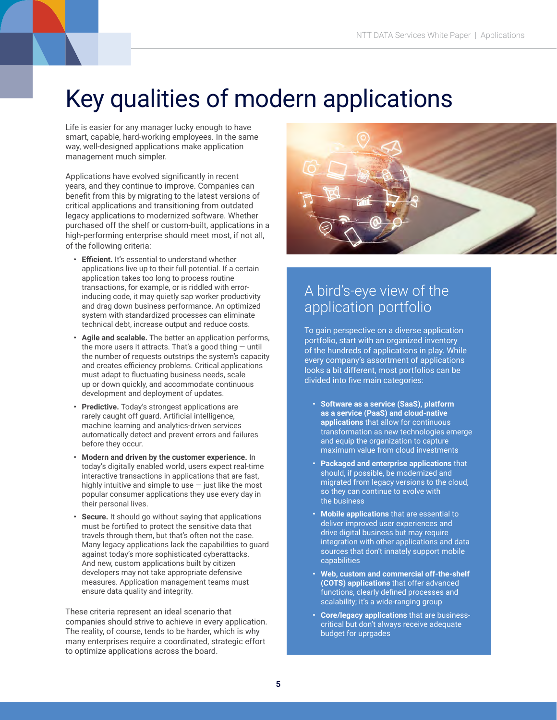### Key qualities of modern applications

Life is easier for any manager lucky enough to have smart, capable, hard-working employees. In the same way, well-designed applications make application management much simpler.

Applications have evolved significantly in recent years, and they continue to improve. Companies can benefit from this by migrating to the latest versions of critical applications and transitioning from outdated legacy applications to modernized software. Whether purchased off the shelf or custom-built, applications in a high-performing enterprise should meet most, if not all, of the following criteria:

- **• Efficient.** It's essential to understand whether applications live up to their full potential. If a certain application takes too long to process routine transactions, for example, or is riddled with errorinducing code, it may quietly sap worker productivity and drag down business performance. An optimized system with standardized processes can eliminate technical debt, increase output and reduce costs.
- **• Agile and scalable.** The better an application performs, the more users it attracts. That's a good thing  $-$  until the number of requests outstrips the system's capacity and creates efficiency problems. Critical applications must adapt to fluctuating business needs, scale up or down quickly, and accommodate continuous development and deployment of updates.
- **• Predictive.** Today's strongest applications are rarely caught off guard. Artificial intelligence, machine learning and analytics-driven services automatically detect and prevent errors and failures before they occur.
- **• Modern and driven by the customer experience.** In today's digitally enabled world, users expect real-time interactive transactions in applications that are fast, highly intuitive and simple to use — just like the most popular consumer applications they use every day in their personal lives.
- **• Secure.** It should go without saying that applications must be fortified to protect the sensitive data that travels through them, but that's often not the case. Many legacy applications lack the capabilities to guard against today's more sophisticated cyberattacks. And new, custom applications built by citizen developers may not take appropriate defensive measures. Application management teams must ensure data quality and integrity.

These criteria represent an ideal scenario that companies should strive to achieve in every application. The reality, of course, tends to be harder, which is why many enterprises require a coordinated, strategic effort to optimize applications across the board.



#### A bird's-eye view of the application portfolio

To gain perspective on a diverse application portfolio, start with an organized inventory of the hundreds of applications in play. While every company's assortment of applications looks a bit different, most portfolios can be divided into five main categories:

- **• Software as a service (SaaS), platform as a service (PaaS) and cloud-native applications** that allow for continuous transformation as new technologies emerge and equip the organization to capture maximum value from cloud investments
- **• Packaged and enterprise applications** that should, if possible, be modernized and migrated from legacy versions to the cloud, so they can continue to evolve with the business
- **• Mobile applications** that are essential to deliver improved user experiences and drive digital business but may require integration with other applications and data sources that don't innately support mobile capabilities
- **• Web, custom and commercial off-the-shelf (COTS) applications** that offer advanced functions, clearly defined processes and scalability; it's a wide-ranging group
- **• Core/legacy applications** that are businesscritical but don't always receive adequate budget for uprgades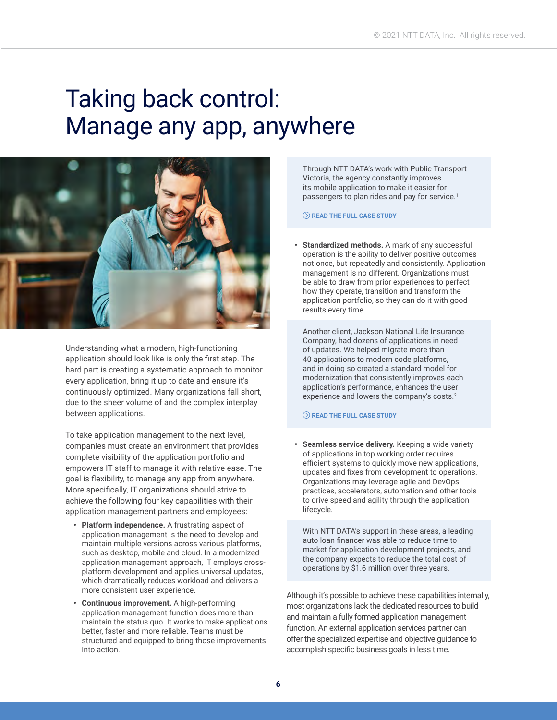### Taking back control: Manage any app, anywhere



Understanding what a modern, high-functioning application should look like is only the first step. The hard part is creating a systematic approach to monitor every application, bring it up to date and ensure it's continuously optimized. Many organizations fall short, due to the sheer volume of and the complex interplay between applications.

To take application management to the next level, companies must create an environment that provides complete visibility of the application portfolio and empowers IT staff to manage it with relative ease. The goal is flexibility, to manage any app from anywhere. More specifically, IT organizations should strive to achieve the following four key capabilities with their application management partners and employees:

- **• Platform independence.** A frustrating aspect of application management is the need to develop and maintain multiple versions across various platforms, such as desktop, mobile and cloud. In a modernized application management approach, IT employs crossplatform development and applies universal updates, which dramatically reduces workload and delivers a more consistent user experience.
- **• Continuous improvement.** A high-performing application management function does more than maintain the status quo. It works to make applications better, faster and more reliable. Teams must be structured and equipped to bring those improvements into action.

Through NTT DATA's work with Public Transport Victoria, the agency constantly improves its mobile application to make it easier for passengers to plan rides and pay for service.<sup>1</sup>

#### **[READ THE FULL CASE STUDY](https://us.nttdata.com/en/case-studies/public-transport-victoria)**

**• Standardized methods.** A mark of any successful operation is the ability to deliver positive outcomes not once, but repeatedly and consistently. Application management is no different. Organizations must be able to draw from prior experiences to perfect how they operate, transition and transform the application portfolio, so they can do it with good results every time.

Another client, Jackson National Life Insurance Company, had dozens of applications in need of updates. We helped migrate more than 40 applications to modern code platforms, and in doing so created a standard model for modernization that consistently improves each application's performance, enhances the user experience and lowers the company's costs.<sup>2</sup>

#### **[READ THE FULL CASE STUDY](https://us.nttdata.com/en/case-studies/jackson-national-life-insurance-company-client-story)**

**• Seamless service delivery.** Keeping a wide variety of applications in top working order requires efficient systems to quickly move new applications, updates and fixes from development to operations. Organizations may leverage agile and DevOps practices, accelerators, automation and other tools to drive speed and agility through the application lifecycle.

With NTT DATA's support in these areas, a leading auto loan financer was able to reduce time to market for application development projects, and the company expects to reduce the total cost of operations by \$1.6 million over three years.

Although it's possible to achieve these capabilities internally, most organizations lack the dedicated resources to build and maintain a fully formed application management function. An external application services partner can offer the specialized expertise and objective guidance to accomplish specific business goals in less time.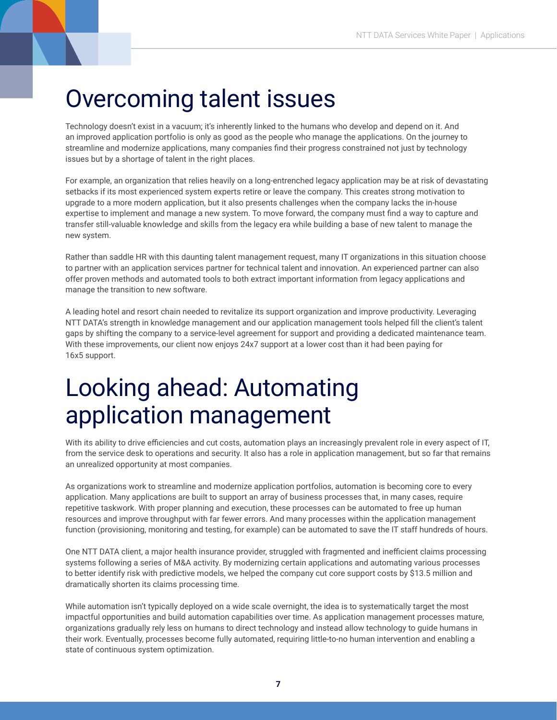#### Overcoming talent issues

Technology doesn't exist in a vacuum; it's inherently linked to the humans who develop and depend on it. And an improved application portfolio is only as good as the people who manage the applications. On the journey to streamline and modernize applications, many companies find their progress constrained not just by technology issues but by a shortage of talent in the right places.

For example, an organization that relies heavily on a long-entrenched legacy application may be at risk of devastating setbacks if its most experienced system experts retire or leave the company. This creates strong motivation to upgrade to a more modern application, but it also presents challenges when the company lacks the in-house expertise to implement and manage a new system. To move forward, the company must find a way to capture and transfer still-valuable knowledge and skills from the legacy era while building a base of new talent to manage the new system.

Rather than saddle HR with this daunting talent management request, many IT organizations in this situation choose to partner with an application services partner for technical talent and innovation. An experienced partner can also offer proven methods and automated tools to both extract important information from legacy applications and manage the transition to new software.

A leading hotel and resort chain needed to revitalize its support organization and improve productivity. Leveraging NTT DATA's strength in knowledge management and our application management tools helped fill the client's talent gaps by shifting the company to a service-level agreement for support and providing a dedicated maintenance team. With these improvements, our client now enjoys 24x7 support at a lower cost than it had been paying for 16x5 support.

### Looking ahead: Automating application management

With its ability to drive efficiencies and cut costs, automation plays an increasingly prevalent role in every aspect of IT, from the service desk to operations and security. It also has a role in application management, but so far that remains an unrealized opportunity at most companies.

As organizations work to streamline and modernize application portfolios, automation is becoming core to every application. Many applications are built to support an array of business processes that, in many cases, require repetitive taskwork. With proper planning and execution, these processes can be automated to free up human resources and improve throughput with far fewer errors. And many processes within the application management function (provisioning, monitoring and testing, for example) can be automated to save the IT staff hundreds of hours.

One NTT DATA client, a major health insurance provider, struggled with fragmented and inefficient claims processing systems following a series of M&A activity. By modernizing certain applications and automating various processes to better identify risk with predictive models, we helped the company cut core support costs by \$13.5 million and dramatically shorten its claims processing time.

While automation isn't typically deployed on a wide scale overnight, the idea is to systematically target the most impactful opportunities and build automation capabilities over time. As application management processes mature, organizations gradually rely less on humans to direct technology and instead allow technology to guide humans in their work. Eventually, processes become fully automated, requiring little-to-no human intervention and enabling a state of continuous system optimization.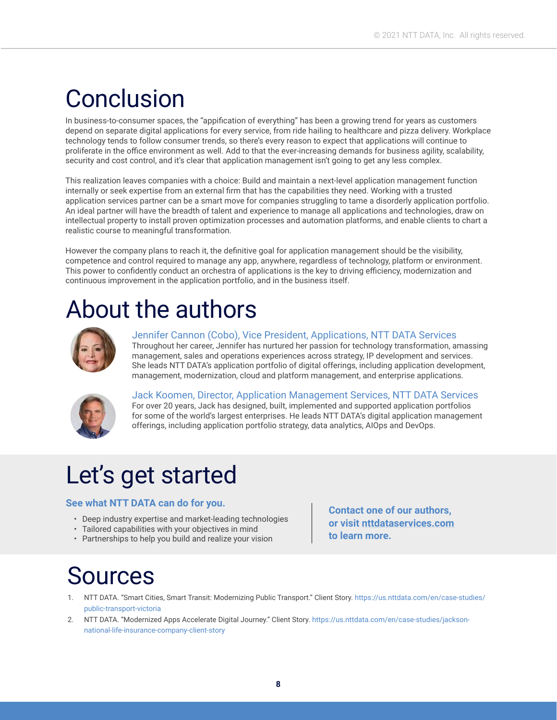### Conclusion

In business-to-consumer spaces, the "appification of everything" has been a growing trend for years as customers depend on separate digital applications for every service, from ride hailing to healthcare and pizza delivery. Workplace technology tends to follow consumer trends, so there's every reason to expect that applications will continue to proliferate in the office environment as well. Add to that the ever-increasing demands for business agility, scalability, security and cost control, and it's clear that application management isn't going to get any less complex.

This realization leaves companies with a choice: Build and maintain a next-level application management function internally or seek expertise from an external firm that has the capabilities they need. Working with a trusted application services partner can be a smart move for companies struggling to tame a disorderly application portfolio. An ideal partner will have the breadth of talent and experience to manage all applications and technologies, draw on intellectual property to install proven optimization processes and automation platforms, and enable clients to chart a realistic course to meaningful transformation.

However the company plans to reach it, the definitive goal for application management should be the visibility, competence and control required to manage any app, anywhere, regardless of technology, platform or environment. This power to confidently conduct an orchestra of applications is the key to driving efficiency, modernization and continuous improvement in the application portfolio, and in the business itself.

### About the authors



Jennifer Cannon (Cobo), Vice President, Applications, NTT DATA Services Throughout her career, Jennifer has nurtured her passion for technology transformation, amassing management, sales and operations experiences across strategy, IP development and services. She leads NTT DATA's application portfolio of digital offerings, including application development, management, modernization, cloud and platform management, and enterprise applications.



Jack Koomen, Director, Application Management Services, NTT DATA Services For over 20 years, Jack has designed, built, implemented and supported application portfolios for some of the world's largest enterprises. He leads NTT DATA's digital application management offerings, including application portfolio strategy, data analytics, AIOps and DevOps.

### Let's get started

#### **See what NTT DATA can do for you.**

- Deep industry expertise and market-leading technologies
- Tailored capabilities with your objectives in mind
- Partnerships to help you build and realize your vision

**Contact one of our authors, or visit [nttdataservices.com](http://www.nttdataservices.com) to learn more.**

### Sources

- 1. NTT DATA. "Smart Cities, Smart Transit: Modernizing Public Transport." Client Story. [https://us.nttdata.com/en/case-studies/](https://us.nttdata.com/en/case-studies/public-transport-victoria) [public-transport-victoria](https://us.nttdata.com/en/case-studies/public-transport-victoria)
- 2. NTT DATA. "Modernized Apps Accelerate Digital Journey." Client Story. [https://us.nttdata.com/en/case-studies/jackson](https://us.nttdata.com/en/case-studies/jackson-national-life-insurance-company-client-story)[national-life-insurance-company-client-story](https://us.nttdata.com/en/case-studies/jackson-national-life-insurance-company-client-story)